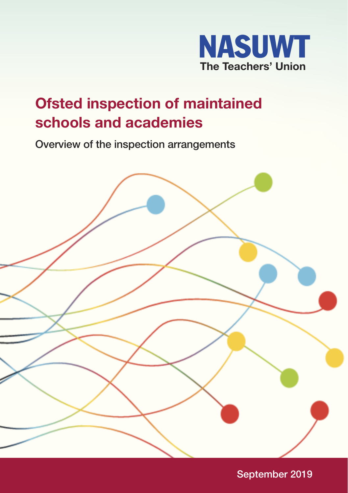

# **Ofsted inspection of maintained schools and academies**

**Overview of the inspection arrangements**



**September 2019**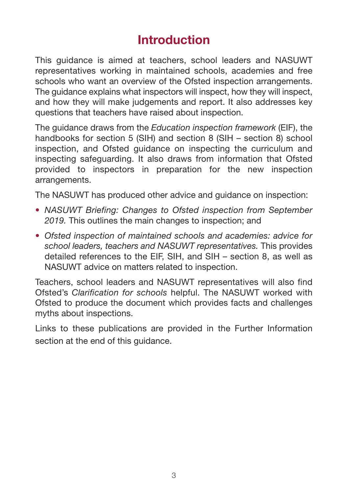# **Introduction**

This guidance is aimed at teachers, school leaders and NASUWT representatives working in maintained schools, academies and free schools who want an overview of the Ofsted inspection arrangements. The guidance explains what inspectors will inspect, how they will inspect, and how they will make judgements and report. It also addresses key questions that teachers have raised about inspection.

The guidance draws from the *Education inspection framework* (EIF), the handbooks for section 5 (SIH) and section 8 (SIH – section 8) school inspection, and Ofsted guidance on inspecting the curriculum and inspecting safeguarding. It also draws from information that Ofsted provided to inspectors in preparation for the new inspection arrangements.

The NASUWT has produced other advice and guidance on inspection:

- *NASUWT Briefing: Changes to Ofsted inspection from September 2019.* This outlines the main changes to inspection; and
- *Ofsted inspection of maintained schools and academies: advice for school leaders, teachers and NASUWT representatives.* This provides detailed references to the EIF, SIH, and SIH – section 8, as well as NASUWT advice on matters related to inspection.

Teachers, school leaders and NASUWT representatives will also find Ofsted's *Clarification for schools* helpful. The NASUWT worked with Ofsted to produce the document which provides facts and challenges myths about inspections.

Links to these publications are provided in the Further Information section at the end of this guidance.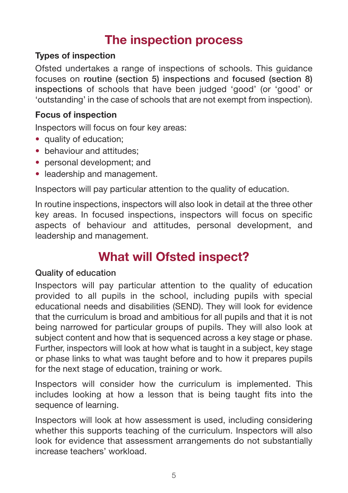# **The inspection process**

#### **Types of inspection**

Ofsted undertakes a range of inspections of schools. This guidance focuses on **routine (section 5) inspections** and **focused (section 8) inspections** of schools that have been judged 'good' (or 'good' or 'outstanding' in the case of schools that are not exempt from inspection).

#### **Focus of inspection**

Inspectors will focus on four key areas:

- quality of education;
- behaviour and attitudes:
- personal development: and
- leadership and management.

Inspectors will pay particular attention to the quality of education.

In routine inspections, inspectors will also look in detail at the three other key areas. In focused inspections, inspectors will focus on specific aspects of behaviour and attitudes, personal development, and leadership and management.

# **What will Ofsted inspect?**

#### **Quality of education**

Inspectors will pay particular attention to the quality of education provided to all pupils in the school, including pupils with special educational needs and disabilities (SEND). They will look for evidence that the curriculum is broad and ambitious for all pupils and that it is not being narrowed for particular groups of pupils. They will also look at subject content and how that is sequenced across a key stage or phase. Further, inspectors will look at how what is taught in a subject, key stage or phase links to what was taught before and to how it prepares pupils for the next stage of education, training or work.

Inspectors will consider how the curriculum is implemented. This includes looking at how a lesson that is being taught fits into the sequence of learning.

Inspectors will look at how assessment is used, including considering whether this supports teaching of the curriculum. Inspectors will also look for evidence that assessment arrangements do not substantially increase teachers' workload.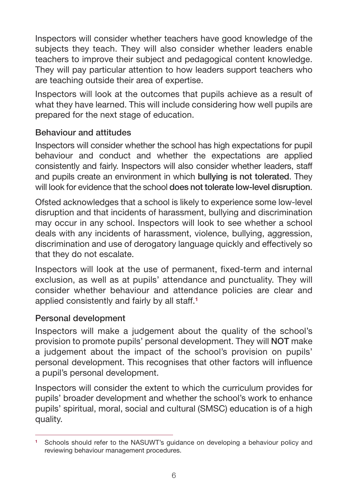Inspectors will consider whether teachers have good knowledge of the subjects they teach. They will also consider whether leaders enable teachers to improve their subject and pedagogical content knowledge. They will pay particular attention to how leaders support teachers who are teaching outside their area of expertise.

Inspectors will look at the outcomes that pupils achieve as a result of what they have learned. This will include considering how well pupils are prepared for the next stage of education.

### **Behaviour and attitudes**

Inspectors will consider whether the school has high expectations for pupil behaviour and conduct and whether the expectations are applied consistently and fairly. Inspectors will also consider whether leaders, staff and pupils create an environment in which **bullying is not tolerated**. They will look for evidence that the school **does not tolerate low-level disruption**.

Ofsted acknowledges that a school is likely to experience some low-level disruption and that incidents of harassment, bullying and discrimination may occur in any school. Inspectors will look to see whether a school deals with any incidents of harassment, violence, bullying, aggression, discrimination and use of derogatory language quickly and effectively so that they do not escalate.

Inspectors will look at the use of permanent, fixed-term and internal exclusion, as well as at pupils' attendance and punctuality. They will consider whether behaviour and attendance policies are clear and applied consistently and fairly by all staff.**<sup>1</sup>**

#### **Personal development**

Inspectors will make a judgement about the quality of the school's provision to promote pupils' personal development. They will **NOT** make a judgement about the impact of the school's provision on pupils' personal development. This recognises that other factors will influence a pupil's personal development.

Inspectors will consider the extent to which the curriculum provides for pupils' broader development and whether the school's work to enhance pupils' spiritual, moral, social and cultural (SMSC) education is of a high quality.

**<sup>1</sup>** Schools should refer to the NASUWT's guidance on developing a behaviour policy and reviewing behaviour management procedures.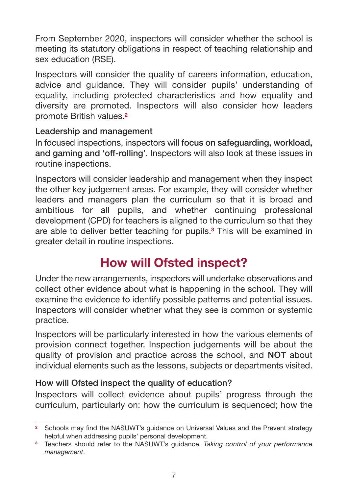From September 2020, inspectors will consider whether the school is meeting its statutory obligations in respect of teaching relationship and sex education (RSE).

Inspectors will consider the quality of careers information, education, advice and guidance. They will consider pupils' understanding of equality, including protected characteristics and how equality and diversity are promoted. Inspectors will also consider how leaders promote British values.**<sup>2</sup>**

### **Leadership and management**

In focused inspections, inspectors will **focus on safeguarding, workload, and gaming and 'off-rolling'**. Inspectors will also look at these issues in routine inspections.

Inspectors will consider leadership and management when they inspect the other key judgement areas. For example, they will consider whether leaders and managers plan the curriculum so that it is broad and ambitious for all pupils, and whether continuing professional development (CPD) for teachers is aligned to the curriculum so that they are able to deliver better teaching for pupils.**3** This will be examined in greater detail in routine inspections.

# **How will Ofsted inspect?**

Under the new arrangements, inspectors will undertake observations and collect other evidence about what is happening in the school. They will examine the evidence to identify possible patterns and potential issues. Inspectors will consider whether what they see is common or systemic practice.

Inspectors will be particularly interested in how the various elements of provision connect together. Inspection judgements will be about the quality of provision and practice across the school, and **NOT** about individual elements such as the lessons, subjects or departments visited.

# **How will Ofsted inspect the quality of education?**

Inspectors will collect evidence about pupils' progress through the curriculum, particularly on: how the curriculum is sequenced; how the

<sup>&</sup>lt;sup>2</sup> Schools may find the NASUWT's quidance on Universal Values and the Prevent strategy helpful when addressing pupils' personal development.

**<sup>3</sup>** Teachers should refer to the NASUWT's guidance, *Taking control of your performance management*.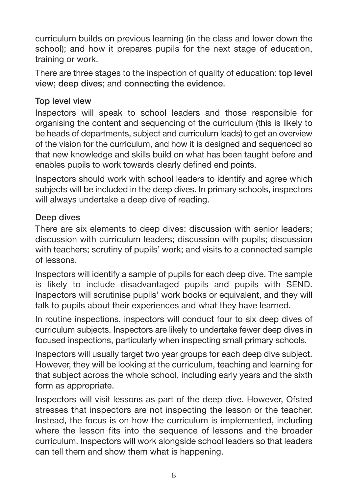curriculum builds on previous learning (in the class and lower down the school); and how it prepares pupils for the next stage of education, training or work.

There are three stages to the inspection of quality of education: **top level view**; **deep dives**; and **connecting the evidence**.

#### **Top level view**

Inspectors will speak to school leaders and those responsible for organising the content and sequencing of the curriculum (this is likely to be heads of departments, subject and curriculum leads) to get an overview of the vision for the curriculum, and how it is designed and sequenced so that new knowledge and skills build on what has been taught before and enables pupils to work towards clearly defined end points.

Inspectors should work with school leaders to identify and agree which subjects will be included in the deep dives. In primary schools, inspectors will always undertake a deep dive of reading.

#### **Deep dives**

There are six elements to deep dives: discussion with senior leaders; discussion with curriculum leaders; discussion with pupils; discussion with teachers; scrutiny of pupils' work; and visits to a connected sample of lessons.

Inspectors will identify a sample of pupils for each deep dive. The sample is likely to include disadvantaged pupils and pupils with SEND. Inspectors will scrutinise pupils' work books or equivalent, and they will talk to pupils about their experiences and what they have learned.

In routine inspections, inspectors will conduct four to six deep dives of curriculum subjects. Inspectors are likely to undertake fewer deep dives in focused inspections, particularly when inspecting small primary schools.

Inspectors will usually target two year groups for each deep dive subject. However, they will be looking at the curriculum, teaching and learning for that subject across the whole school, including early years and the sixth form as appropriate.

Inspectors will visit lessons as part of the deep dive. However, Ofsted stresses that inspectors are not inspecting the lesson or the teacher. Instead, the focus is on how the curriculum is implemented, including where the lesson fits into the sequence of lessons and the broader curriculum. Inspectors will work alongside school leaders so that leaders can tell them and show them what is happening.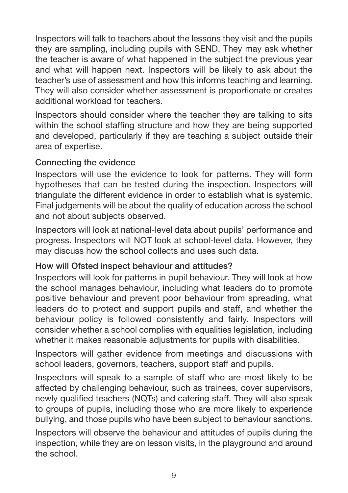Inspectors will talk to teachers about the lessons they visit and the pupils they are sampling, including pupils with SEND. They may ask whether the teacher is aware of what happened in the subject the previous year and what will happen next. Inspectors will be likely to ask about the teacher's use of assessment and how this informs teaching and learning. They will also consider whether assessment is proportionate or creates additional workload for teachers.

Inspectors should consider where the teacher they are talking to sits within the school staffing structure and how they are being supported and developed, particularly if they are teaching a subject outside their area of expertise.

#### **Connecting the evidence**

Inspectors will use the evidence to look for patterns. They will form hypotheses that can be tested during the inspection. Inspectors will triangulate the different evidence in order to establish what is systemic. Final judgements will be about the quality of education across the school and not about subjects observed.

Inspectors will look at national-level data about pupils' performance and progress. Inspectors will NOT look at school-level data. However, they may discuss how the school collects and uses such data.

#### **How will Ofsted inspect behaviour and attitudes?**

Inspectors will look for patterns in pupil behaviour. They will look at how the school manages behaviour, including what leaders do to promote positive behaviour and prevent poor behaviour from spreading, what leaders do to protect and support pupils and staff, and whether the behaviour policy is followed consistently and fairly. Inspectors will consider whether a school complies with equalities legislation, including whether it makes reasonable adjustments for pupils with disabilities.

Inspectors will gather evidence from meetings and discussions with school leaders, governors, teachers, support staff and pupils.

Inspectors will speak to a sample of staff who are most likely to be affected by challenging behaviour, such as trainees, cover supervisors, newly qualified teachers (NQTs) and catering staff. They will also speak to groups of pupils, including those who are more likely to experience bullying, and those pupils who have been subject to behaviour sanctions.

Inspectors will observe the behaviour and attitudes of pupils during the inspection, while they are on lesson visits, in the playground and around the school.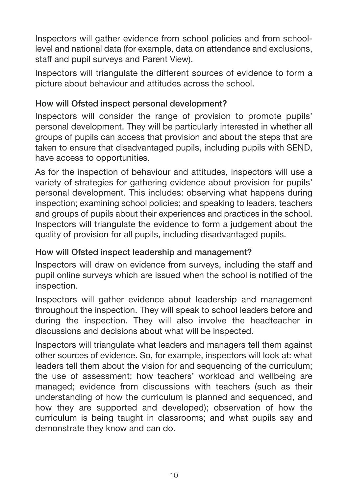Inspectors will gather evidence from school policies and from schoollevel and national data (for example, data on attendance and exclusions, staff and pupil surveys and Parent View).

Inspectors will triangulate the different sources of evidence to form a picture about behaviour and attitudes across the school.

#### **How will Ofsted inspect personal development?**

Inspectors will consider the range of provision to promote pupils' personal development. They will be particularly interested in whether all groups of pupils can access that provision and about the steps that are taken to ensure that disadvantaged pupils, including pupils with SEND, have access to opportunities.

As for the inspection of behaviour and attitudes, inspectors will use a variety of strategies for gathering evidence about provision for pupils' personal development. This includes: observing what happens during inspection; examining school policies; and speaking to leaders, teachers and groups of pupils about their experiences and practices in the school. Inspectors will triangulate the evidence to form a judgement about the quality of provision for all pupils, including disadvantaged pupils.

# **How will Ofsted inspect leadership and management?**

Inspectors will draw on evidence from surveys, including the staff and pupil online surveys which are issued when the school is notified of the inspection.

Inspectors will gather evidence about leadership and management throughout the inspection. They will speak to school leaders before and during the inspection. They will also involve the headteacher in discussions and decisions about what will be inspected.

Inspectors will triangulate what leaders and managers tell them against other sources of evidence. So, for example, inspectors will look at: what leaders tell them about the vision for and sequencing of the curriculum; the use of assessment; how teachers' workload and wellbeing are managed; evidence from discussions with teachers (such as their understanding of how the curriculum is planned and sequenced, and how they are supported and developed); observation of how the curriculum is being taught in classrooms; and what pupils say and demonstrate they know and can do.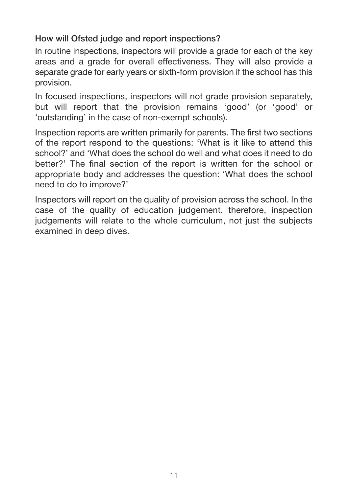### **How will Ofsted judge and report inspections?**

In routine inspections, inspectors will provide a grade for each of the key areas and a grade for overall effectiveness. They will also provide a separate grade for early years or sixth-form provision if the school has this provision.

In focused inspections, inspectors will not grade provision separately, but will report that the provision remains 'good' (or 'good' or 'outstanding' in the case of non-exempt schools).

Inspection reports are written primarily for parents. The first two sections of the report respond to the questions: 'What is it like to attend this school?' and 'What does the school do well and what does it need to do better?' The final section of the report is written for the school or appropriate body and addresses the question: 'What does the school need to do to improve?'

Inspectors will report on the quality of provision across the school. In the case of the quality of education judgement, therefore, inspection judgements will relate to the whole curriculum, not just the subjects examined in deep dives.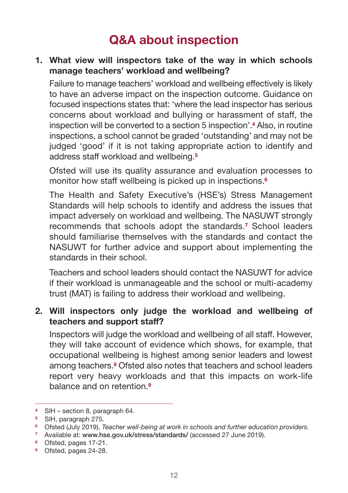# **Q&A about inspection**

#### **1. What view will inspectors take of the way in which schools manage teachers' workload and wellbeing?**

Failure to manage teachers' workload and wellbeing effectively is likely to have an adverse impact on the inspection outcome. Guidance on focused inspections states that: 'where the lead inspector has serious concerns about workload and bullying or harassment of staff, the inspection will be converted to a section 5 inspection'.**4** Also, in routine inspections, a school cannot be graded 'outstanding' and may not be judged 'good' if it is not taking appropriate action to identify and address staff workload and wellbeing.**<sup>5</sup>**

Ofsted will use its quality assurance and evaluation processes to monitor how staff wellbeing is picked up in inspections.**<sup>6</sup>**

The Health and Safety Executive's (HSE's) Stress Management Standards will help schools to identify and address the issues that impact adversely on workload and wellbeing. The NASUWT strongly recommends that schools adopt the standards.**7** School leaders should familiarise themselves with the standards and contact the NASUWT for further advice and support about implementing the standards in their school.

Teachers and school leaders should contact the NASUWT for advice if their workload is unmanageable and the school or multi-academy trust (MAT) is failing to address their workload and wellbeing.

#### **2. Will inspectors only judge the workload and wellbeing of teachers and support staff?**

Inspectors will judge the workload and wellbeing of all staff. However, they will take account of evidence which shows, for example, that occupational wellbeing is highest among senior leaders and lowest among teachers.**8** Ofsted also notes that teachers and school leaders report very heavy workloads and that this impacts on work-life balance and on retention.**<sup>9</sup>**

**<sup>4</sup>** SIH – section 8, paragraph 64.

**<sup>5</sup>** SIH, paragraph 275.

**<sup>6</sup>** Ofsted (July 2019), *Teacher well-being at work in schools and further education providers.*

**<sup>7</sup>** Available at: **www.hse.gov.uk/stress/standards/** (accessed 27 June 2019).

**<sup>8</sup>** Ofsted, pages 17-21.

**<sup>9</sup>** Ofsted, pages 24-28.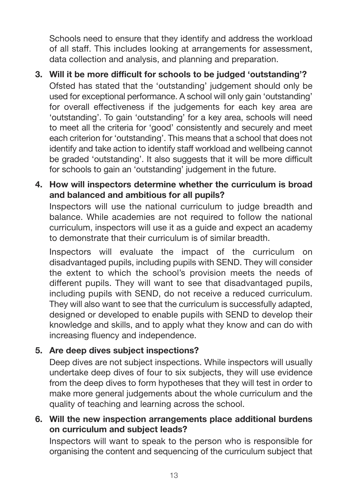Schools need to ensure that they identify and address the workload of all staff. This includes looking at arrangements for assessment, data collection and analysis, and planning and preparation.

- **3. Will it be more difficult for schools to be judged 'outstanding'?** Ofsted has stated that the 'outstanding' judgement should only be used for exceptional performance. A school will only gain 'outstanding' for overall effectiveness if the judgements for each key area are 'outstanding'. To gain 'outstanding' for a key area, schools will need to meet all the criteria for 'good' consistently and securely and meet each criterion for 'outstanding'. This means that a school that does not identify and take action to identify staff workload and wellbeing cannot be graded 'outstanding'. It also suggests that it will be more difficult for schools to gain an 'outstanding' judgement in the future.
- **4. How will inspectors determine whether the curriculum is broad and balanced and ambitious for all pupils?**

Inspectors will use the national curriculum to judge breadth and balance. While academies are not required to follow the national curriculum, inspectors will use it as a guide and expect an academy to demonstrate that their curriculum is of similar breadth.

Inspectors will evaluate the impact of the curriculum on disadvantaged pupils, including pupils with SEND. They will consider the extent to which the school's provision meets the needs of different pupils. They will want to see that disadvantaged pupils, including pupils with SEND, do not receive a reduced curriculum. They will also want to see that the curriculum is successfully adapted, designed or developed to enable pupils with SEND to develop their knowledge and skills, and to apply what they know and can do with increasing fluency and independence.

# **5. Are deep dives subject inspections?**

Deep dives are not subject inspections. While inspectors will usually undertake deep dives of four to six subjects, they will use evidence from the deep dives to form hypotheses that they will test in order to make more general judgements about the whole curriculum and the quality of teaching and learning across the school.

#### **6. Will the new inspection arrangements place additional burdens on curriculum and subject leads?**

Inspectors will want to speak to the person who is responsible for organising the content and sequencing of the curriculum subject that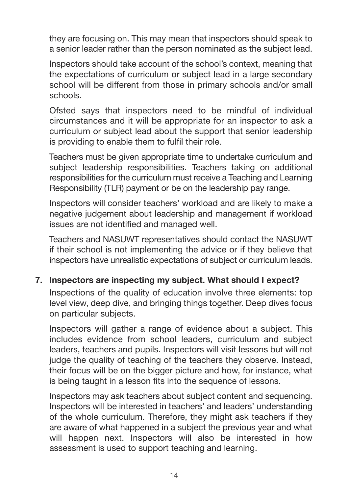they are focusing on. This may mean that inspectors should speak to a senior leader rather than the person nominated as the subject lead.

Inspectors should take account of the school's context, meaning that the expectations of curriculum or subject lead in a large secondary school will be different from those in primary schools and/or small schools.

Ofsted says that inspectors need to be mindful of individual circumstances and it will be appropriate for an inspector to ask a curriculum or subject lead about the support that senior leadership is providing to enable them to fulfil their role.

Teachers must be given appropriate time to undertake curriculum and subject leadership responsibilities. Teachers taking on additional responsibilities for the curriculum must receive a Teaching and Learning Responsibility (TLR) payment or be on the leadership pay range.

Inspectors will consider teachers' workload and are likely to make a negative judgement about leadership and management if workload issues are not identified and managed well.

Teachers and NASUWT representatives should contact the NASUWT if their school is not implementing the advice or if they believe that inspectors have unrealistic expectations of subject or curriculum leads.

#### **7. Inspectors are inspecting my subject. What should I expect?**

Inspections of the quality of education involve three elements: top level view, deep dive, and bringing things together. Deep dives focus on particular subjects.

Inspectors will gather a range of evidence about a subject. This includes evidence from school leaders, curriculum and subject leaders, teachers and pupils. Inspectors will visit lessons but will not judge the quality of teaching of the teachers they observe. Instead, their focus will be on the bigger picture and how, for instance, what is being taught in a lesson fits into the sequence of lessons.

Inspectors may ask teachers about subject content and sequencing. Inspectors will be interested in teachers' and leaders' understanding of the whole curriculum. Therefore, they might ask teachers if they are aware of what happened in a subject the previous year and what will happen next. Inspectors will also be interested in how assessment is used to support teaching and learning.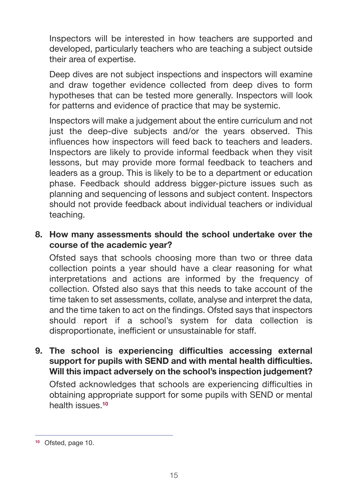Inspectors will be interested in how teachers are supported and developed, particularly teachers who are teaching a subject outside their area of expertise.

Deep dives are not subject inspections and inspectors will examine and draw together evidence collected from deep dives to form hypotheses that can be tested more generally. Inspectors will look for patterns and evidence of practice that may be systemic.

Inspectors will make a judgement about the entire curriculum and not just the deep-dive subjects and/or the years observed. This influences how inspectors will feed back to teachers and leaders. Inspectors are likely to provide informal feedback when they visit lessons, but may provide more formal feedback to teachers and leaders as a group. This is likely to be to a department or education phase. Feedback should address bigger-picture issues such as planning and sequencing of lessons and subject content. Inspectors should not provide feedback about individual teachers or individual teaching.

#### **8. How many assessments should the school undertake over the course of the academic year?**

Ofsted says that schools choosing more than two or three data collection points a year should have a clear reasoning for what interpretations and actions are informed by the frequency of collection. Ofsted also says that this needs to take account of the time taken to set assessments, collate, analyse and interpret the data, and the time taken to act on the findings. Ofsted says that inspectors should report if a school's system for data collection is disproportionate, inefficient or unsustainable for staff.

**9. The school is experiencing difficulties accessing external support for pupils with SEND and with mental health difficulties. Will this impact adversely on the school's inspection judgement?**

Ofsted acknowledges that schools are experiencing difficulties in obtaining appropriate support for some pupils with SEND or mental health issues.**<sup>10</sup>**

**<sup>10</sup>** Ofsted, page 10.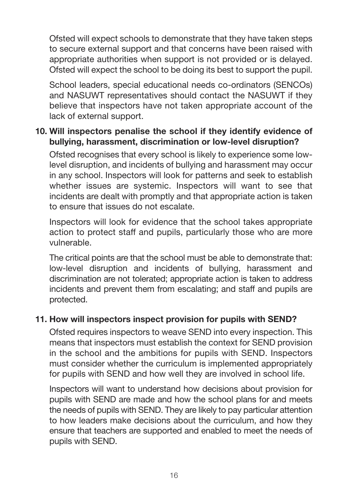Ofsted will expect schools to demonstrate that they have taken steps to secure external support and that concerns have been raised with appropriate authorities when support is not provided or is delayed. Ofsted will expect the school to be doing its best to support the pupil.

School leaders, special educational needs co-ordinators (SENCOs) and NASUWT representatives should contact the NASUWT if they believe that inspectors have not taken appropriate account of the lack of external support.

#### **10. Will inspectors penalise the school if they identify evidence of bullying, harassment, discrimination or low-level disruption?**

Ofsted recognises that every school is likely to experience some lowlevel disruption, and incidents of bullying and harassment may occur in any school. Inspectors will look for patterns and seek to establish whether issues are systemic. Inspectors will want to see that incidents are dealt with promptly and that appropriate action is taken to ensure that issues do not escalate.

Inspectors will look for evidence that the school takes appropriate action to protect staff and pupils, particularly those who are more vulnerable.

The critical points are that the school must be able to demonstrate that: low-level disruption and incidents of bullying, harassment and discrimination are not tolerated; appropriate action is taken to address incidents and prevent them from escalating; and staff and pupils are protected.

#### **11. How will inspectors inspect provision for pupils with SEND?**

Ofsted requires inspectors to weave SEND into every inspection. This means that inspectors must establish the context for SEND provision in the school and the ambitions for pupils with SEND. Inspectors must consider whether the curriculum is implemented appropriately for pupils with SEND and how well they are involved in school life.

Inspectors will want to understand how decisions about provision for pupils with SEND are made and how the school plans for and meets the needs of pupils with SEND. They are likely to pay particular attention to how leaders make decisions about the curriculum, and how they ensure that teachers are supported and enabled to meet the needs of pupils with SEND.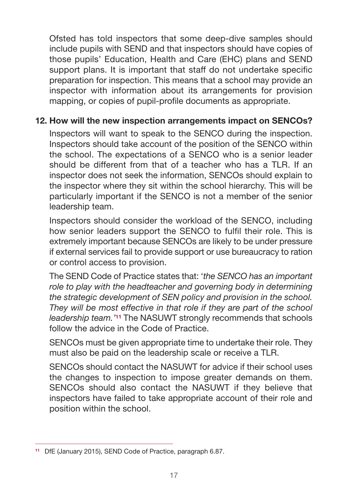Ofsted has told inspectors that some deep-dive samples should include pupils with SEND and that inspectors should have copies of those pupils' Education, Health and Care (EHC) plans and SEND support plans. It is important that staff do not undertake specific preparation for inspection. This means that a school may provide an inspector with information about its arrangements for provision mapping, or copies of pupil-profile documents as appropriate.

#### **12. How will the new inspection arrangements impact on SENCOs?**

Inspectors will want to speak to the SENCO during the inspection. Inspectors should take account of the position of the SENCO within the school. The expectations of a SENCO who is a senior leader should be different from that of a teacher who has a TLR. If an inspector does not seek the information, SENCOs should explain to the inspector where they sit within the school hierarchy. This will be particularly important if the SENCO is not a member of the senior leadership team.

Inspectors should consider the workload of the SENCO, including how senior leaders support the SENCO to fulfil their role. This is extremely important because SENCOs are likely to be under pressure if external services fail to provide support or use bureaucracy to ration or control access to provision.

The SEND Code of Practice states that: '*the SENCO has an important role to play with the headteacher and governing body in determining the strategic development of SEN policy and provision in the school. They will be most effective in that role if they are part of the school leadership team.'***11** The NASUWT strongly recommends that schools follow the advice in the Code of Practice.

SENCOs must be given appropriate time to undertake their role. They must also be paid on the leadership scale or receive a TLR.

SENCOs should contact the NASUWT for advice if their school uses the changes to inspection to impose greater demands on them. SENCOs should also contact the NASUWT if they believe that inspectors have failed to take appropriate account of their role and position within the school.

**<sup>11</sup>** DfE (January 2015), SEND Code of Practice, paragraph 6.87.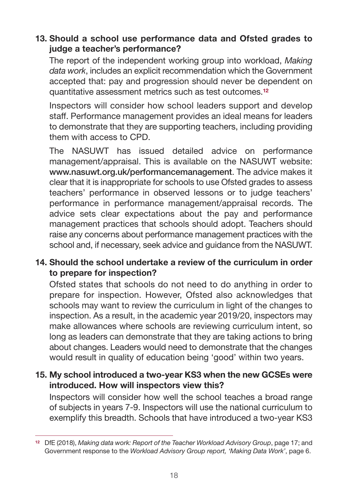### **13. Should a school use performance data and Ofsted grades to judge a teacher's performance?**

The report of the independent working group into workload, *Making data work*, includes an explicit recommendation which the Government accepted that: pay and progression should never be dependent on quantitative assessment metrics such as test outcomes.**<sup>12</sup>**

Inspectors will consider how school leaders support and develop staff. Performance management provides an ideal means for leaders to demonstrate that they are supporting teachers, including providing them with access to CPD.

The NASUWT has issued detailed advice on performance management/appraisal. This is available on the NASUWT website: **www.nasuwt.org.uk/performancemanagement**. The advice makes it clear that it is inappropriate for schools to use Ofsted grades to assess teachers' performance in observed lessons or to judge teachers' performance in performance management/appraisal records. The advice sets clear expectations about the pay and performance management practices that schools should adopt. Teachers should raise any concerns about performance management practices with the school and, if necessary, seek advice and guidance from the NASUWT.

### **14. Should the school undertake a review of the curriculum in order to prepare for inspection?**

Ofsted states that schools do not need to do anything in order to prepare for inspection. However, Ofsted also acknowledges that schools may want to review the curriculum in light of the changes to inspection. As a result, in the academic year 2019/20, inspectors may make allowances where schools are reviewing curriculum intent, so long as leaders can demonstrate that they are taking actions to bring about changes. Leaders would need to demonstrate that the changes would result in quality of education being 'good' within two years.

#### **15. My school introduced a two-year KS3 when the new GCSEs were introduced. How will inspectors view this?**

Inspectors will consider how well the school teaches a broad range of subjects in years 7-9. Inspectors will use the national curriculum to exemplify this breadth. Schools that have introduced a two-year KS3

**<sup>12</sup>** DfE (2018), *Making data work: Report of the Teacher Workload Advisory Group*, page 17; and Government response to the *Workload Advisory Group report, 'Making Data Work'*, page 6.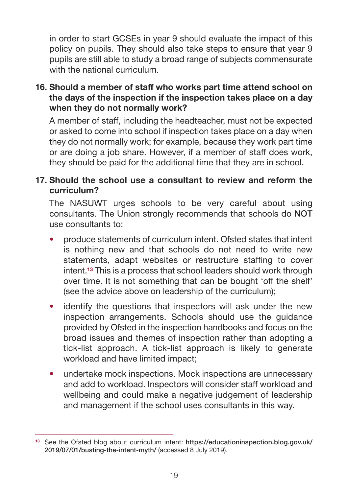in order to start GCSEs in year 9 should evaluate the impact of this policy on pupils. They should also take steps to ensure that year 9 pupils are still able to study a broad range of subjects commensurate with the national curriculum.

#### **16. Should a member of staff who works part time attend school on the days of the inspection if the inspection takes place on a day when they do not normally work?**

A member of staff, including the headteacher, must not be expected or asked to come into school if inspection takes place on a day when they do not normally work; for example, because they work part time or are doing a job share. However, if a member of staff does work, they should be paid for the additional time that they are in school.

#### **17. Should the school use a consultant to review and reform the curriculum?**

The NASUWT urges schools to be very careful about using consultants. The Union strongly recommends that schools do **NOT** use consultants to:

- produce statements of curriculum intent. Ofsted states that intent is nothing new and that schools do not need to write new statements, adapt websites or restructure staffing to cover intent.**13** This is a process that school leaders should work through over time. It is not something that can be bought 'off the shelf' (see the advice above on leadership of the curriculum);
- identify the questions that inspectors will ask under the new inspection arrangements. Schools should use the guidance provided by Ofsted in the inspection handbooks and focus on the broad issues and themes of inspection rather than adopting a tick-list approach. A tick-list approach is likely to generate workload and have limited impact;
- undertake mock inspections. Mock inspections are unnecessary and add to workload. Inspectors will consider staff workload and wellbeing and could make a negative judgement of leadership and management if the school uses consultants in this way.

**<sup>13</sup>** See the Ofsted blog about curriculum intent: **https://educationinspection.blog.gov.uk/ 2019/07/01/busting-the-intent-myth/** (accessed 8 July 2019).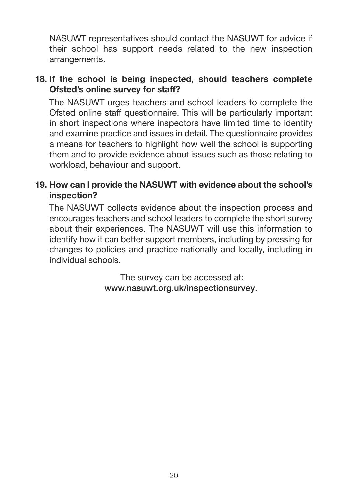NASUWT representatives should contact the NASUWT for advice if their school has support needs related to the new inspection arrangements.

#### **18. If the school is being inspected, should teachers complete Ofsted's online survey for staff?**

The NASUWT urges teachers and school leaders to complete the Ofsted online staff questionnaire. This will be particularly important in short inspections where inspectors have limited time to identify and examine practice and issues in detail. The questionnaire provides a means for teachers to highlight how well the school is supporting them and to provide evidence about issues such as those relating to workload, behaviour and support.

#### **19. How can I provide the NASUWT with evidence about the school's inspection?**

The NASUWT collects evidence about the inspection process and encourages teachers and school leaders to complete the short survey about their experiences. The NASUWT will use this information to identify how it can better support members, including by pressing for changes to policies and practice nationally and locally, including in individual schools.

> The survey can be accessed at: **www.nasuwt.org.uk/inspectionsurvey**.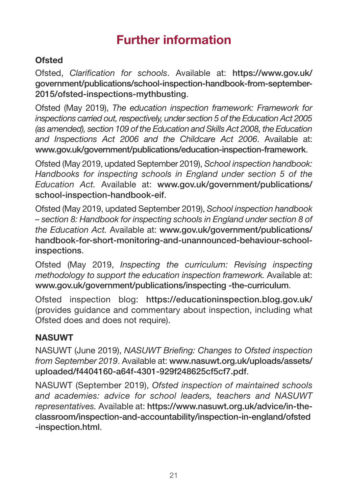# **Further information**

# **Ofsted**

Ofsted, *Clarification for schools*. Available at: **https://www.gov.uk/ government/publications/school-inspection-handbook-from-september-2015/ofsted-inspections-mythbusting**.

Ofsted (May 2019), *The education inspection framework: Framework for inspections carried out, respectively, under section 5 of the Education Act 2005 (as amended), section 109 of the Education and Skills Act 2008, the Education and Inspections Act 2006 and the Childcare Act 2006*. Available at: **www.gov.uk/government/publications/education-inspection-framework**.

Ofsted (May 2019, updated September 2019), *School inspection handbook: Handbooks for inspecting schools in England under section 5 of the Education Act.* Available at: **www.gov.uk/government/publications/ school-inspection-handbook-eif**.

Ofsted (May 2019, updated September 2019), *School inspection handbook – section 8: Handbook for inspecting schools in England under section 8 of the Education Act.* Available at: **www.gov.uk/government/publications/ handbook-for-short-monitoring-and-unannounced-behaviour-schoolinspections**.

Ofsted (May 2019, *Inspecting the curriculum: Revising inspecting methodology to support the education inspection framework.* Available at: **www.gov.uk/government/publications/inspecting -the-curriculum**.

Ofsted inspection blog: **https://educationinspection.blog.gov.uk/** (provides guidance and commentary about inspection, including what Ofsted does and does not require).

# **NASUWT**

NASUWT (June 2019), *NASUWT Briefing: Changes to Ofsted inspection from September 2019*. Available at: **www.nasuwt.org.uk/uploads/assets/ uploaded/f4404160-a64f-4301-929f248625cf5cf7.pdf**.

NASUWT (September 2019), *Ofsted inspection of maintained schools and academies: advice for school leaders, teachers and NASUWT representatives.* Available at: **https://www.nasuwt.org.uk/advice/in-theclassroom/inspection-and-accountability/inspection-in-england/ofsted -inspection.html**.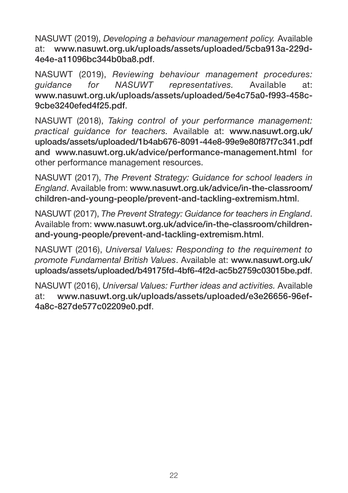NASUWT (2019), *Developing a behaviour management policy.* Available at: **www.nasuwt.org.uk/uploads/assets/uploaded/5cba913a-229d-4e4e-a11096bc344b0ba8.pdf**.

NASUWT (2019), *Reviewing behaviour management procedures: guidance for NASUWT representatives.* Available at: **www.nasuwt.org.uk/uploads/assets/uploaded/5e4c75a0-f993-458c-9cbe3240efed4f25.pdf**.

NASUWT (2018), *Taking control of your performance management: practical guidance for teachers.* Available at: **www.nasuwt.org.uk/ uploads/assets/uploaded/1b4ab676-8091-44e8-99e9e80f87f7c341.pdf and www.nasuwt.org.uk/advice/performance-management.html** for other performance management resources.

NASUWT (2017), *The Prevent Strategy: Guidance for school leaders in England*. Available from: **www.nasuwt.org.uk/advice/in-the-classroom/ children-and-young-people/prevent-and-tackling-extremism.html**.

NASUWT (2017), *The Prevent Strategy: Guidance for teachers in England*. Available from: **www.nasuwt.org.uk/advice/in-the-classroom/childrenand-young-people/prevent-and-tackling-extremism.html**.

NASUWT (2016), *Universal Values: Responding to the requirement to promote Fundamental British Values*. Available at: **www.nasuwt.org.uk/ uploads/assets/uploaded/b49175fd-4bf6-4f2d-ac5b2759c03015be.pdf**.

NASUWT (2016), *Universal Values: Further ideas and activities.* Available at: **www.nasuwt.org.uk/uploads/assets/uploaded/e3e26656-96ef-4a8c-827de577c02209e0.pdf**.